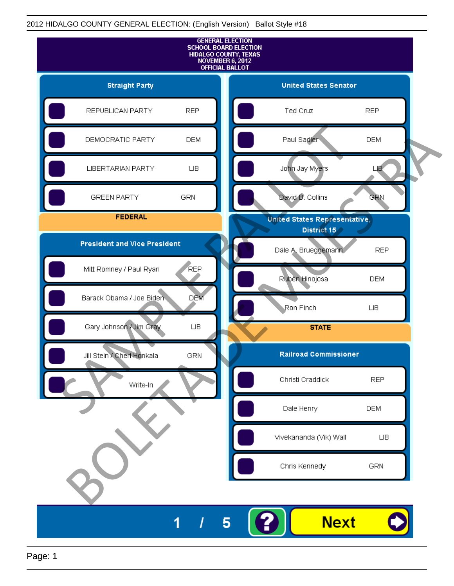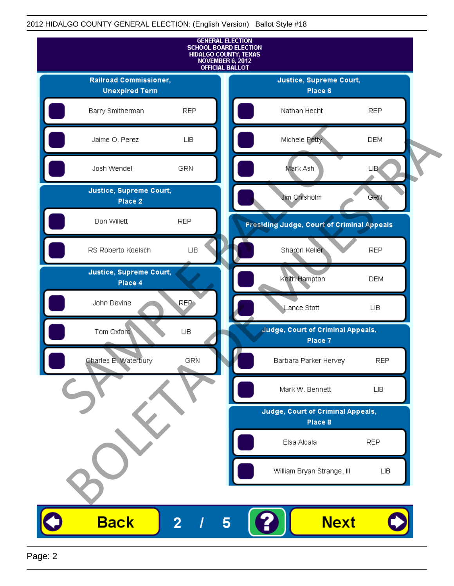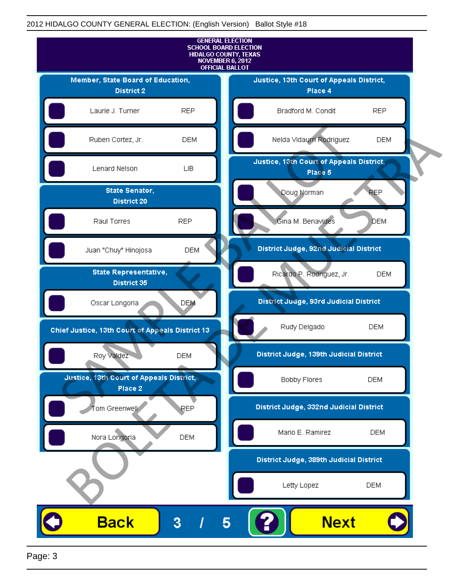

Page: 3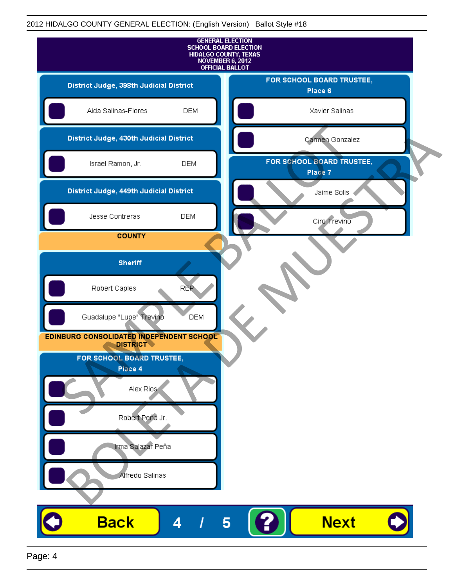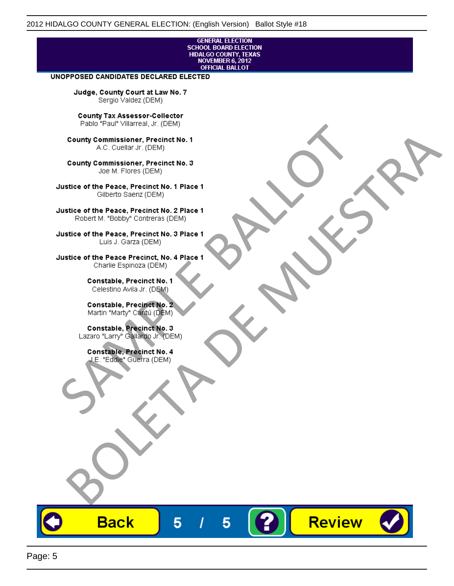# **GENERAL ELECTION** SCHOOL BOARD ELECTION<br>HIDALGO COUNTY, TEXAS<br>NOVEMBER 6, 2012<br>OFFICIAL BALLOT

Review

#### UNOPPOSED CANDIDATES DECLARED ELECTED

Judge, County Court at Law No. 7 Sergio Valdez (DEM)

County Tax Assessor-Collector

Fall Paul Visitera, Precinct No. 1<br>
County Commissioner, Precinct No. 1<br>
SAC. Cutellar JF: (DEM)<br>
County Commissioner, Precinct No. 2<br>
Ulattice of the Peace, Precinct No. 2 Place 1<br>
Counter M. "Bobby" Contrers (DEM)<br>
Ulatt County Commissioner, Precinct No. 1<br>
Accounts: A County Commissioner, Precinct No. 3<br>
Use of the Peace, Precinct No. 1<br>
Siste of the Peace, Precinct No. 1<br>
There is a control of the County Commission (DEM)<br>
There is a cont

**Back** 

5

5

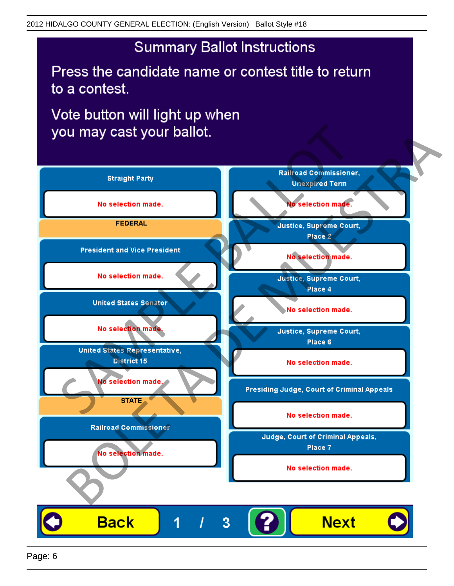## **Summary Ballot Instructions**

Press the candidate name or contest title to return to a contest.

Vote button will light up when

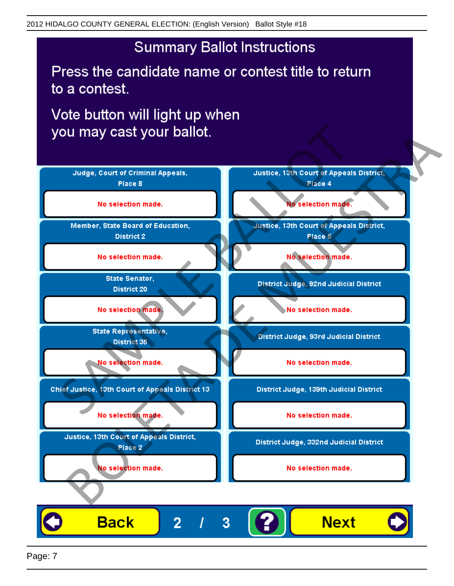## **Summary Ballot Instructions**

Press the candidate name or contest title to return to a contest.

Vote button will light up when